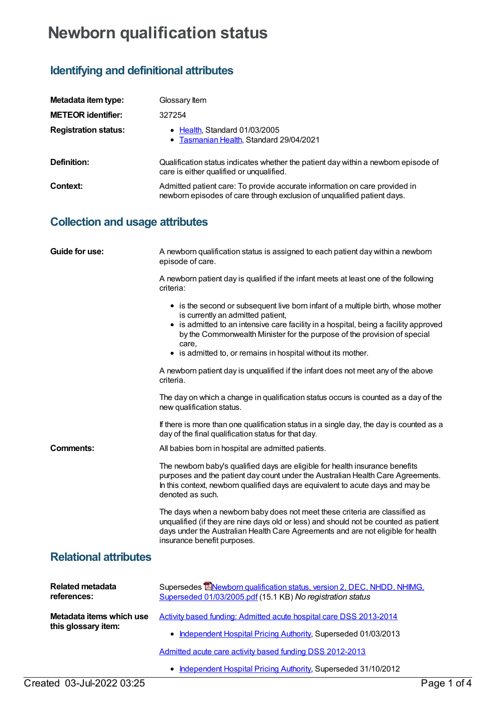## **Newborn qualification status**

## **Identifying and definitional attributes**

| Metadata item type:         | Glossary Item                                                                                                                                         |
|-----------------------------|-------------------------------------------------------------------------------------------------------------------------------------------------------|
| <b>METEOR identifier:</b>   | 327254                                                                                                                                                |
| <b>Registration status:</b> | • Health, Standard 01/03/2005<br>• Tasmanian Health, Standard 29/04/2021                                                                              |
| Definition:                 | Qualification status indicates whether the patient day within a newborn episode of<br>care is either qualified or unqualified.                        |
| Context:                    | Admitted patient care: To provide accurate information on care provided in<br>newborn episodes of care through exclusion of unqualified patient days. |

## **Collection and usage attributes**

| Guide for use:                                  | A newborn qualification status is assigned to each patient day within a newborn<br>episode of care.                                                                                                                                                                                                                                                                |
|-------------------------------------------------|--------------------------------------------------------------------------------------------------------------------------------------------------------------------------------------------------------------------------------------------------------------------------------------------------------------------------------------------------------------------|
|                                                 | A newborn patient day is qualified if the infant meets at least one of the following<br>criteria:                                                                                                                                                                                                                                                                  |
|                                                 | • is the second or subsequent live born infant of a multiple birth, whose mother<br>is currently an admitted patient,<br>• is admitted to an intensive care facility in a hospital, being a facility approved<br>by the Commonwealth Minister for the purpose of the provision of special<br>care,<br>• is admitted to, or remains in hospital without its mother. |
|                                                 | A newborn patient day is unqualified if the infant does not meet any of the above<br>criteria.                                                                                                                                                                                                                                                                     |
|                                                 | The day on which a change in qualification status occurs is counted as a day of the<br>new qualification status.                                                                                                                                                                                                                                                   |
|                                                 | If there is more than one qualification status in a single day, the day is counted as a<br>day of the final qualification status for that day.                                                                                                                                                                                                                     |
| Comments:                                       | All babies born in hospital are admitted patients.                                                                                                                                                                                                                                                                                                                 |
|                                                 | The newborn baby's qualified days are eligible for health insurance benefits<br>purposes and the patient day count under the Australian Health Care Agreements.<br>In this context, newborn qualified days are equivalent to acute days and may be<br>denoted as such.                                                                                             |
|                                                 | The days when a newborn baby does not meet these criteria are classified as<br>unqualified (if they are nine days old or less) and should not be counted as patient<br>days under the Australian Health Care Agreements and are not eligible for health<br>insurance benefit purposes.                                                                             |
| <b>Relational attributes</b>                    |                                                                                                                                                                                                                                                                                                                                                                    |
| <b>Related metadata</b><br>references:          | Supersedes ENewborn qualification status, version 2, DEC, NHDD, NHIMG,<br>Superseded 01/03/2005.pdf (15.1 KB) No registration status                                                                                                                                                                                                                               |
| Metadata items which use<br>this glossary item: | Activity based funding: Admitted acute hospital care DSS 2013-2014                                                                                                                                                                                                                                                                                                 |
|                                                 | • Independent Hospital Pricing Authority, Superseded 01/03/2013                                                                                                                                                                                                                                                                                                    |
|                                                 | Admitted acute care activity based funding DSS 2012-2013                                                                                                                                                                                                                                                                                                           |
|                                                 | • Independent Hospital Pricing Authority, Superseded 31/10/2012                                                                                                                                                                                                                                                                                                    |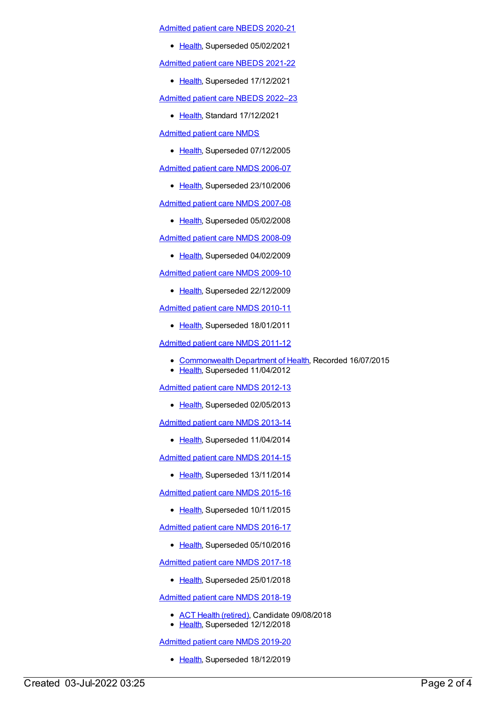[Admitted](https://meteor.aihw.gov.au/content/715998) patient care NBEDS 2020-21

• [Health](https://meteor.aihw.gov.au/RegistrationAuthority/12), Superseded 05/02/2021

[Admitted](https://meteor.aihw.gov.au/content/728441) patient care NBEDS 2021-22

• [Health](https://meteor.aihw.gov.au/RegistrationAuthority/12), Superseded 17/12/2021

[Admitted](https://meteor.aihw.gov.au/content/742171) patient care NBEDS 2022–23

• [Health](https://meteor.aihw.gov.au/RegistrationAuthority/12), Standard 17/12/2021

[Admitted](https://meteor.aihw.gov.au/content/273050) patient care NMDS

• [Health](https://meteor.aihw.gov.au/RegistrationAuthority/12), Superseded 07/12/2005

[Admitted](https://meteor.aihw.gov.au/content/334023) patient care NMDS 2006-07

• [Health](https://meteor.aihw.gov.au/RegistrationAuthority/12), Superseded 23/10/2006

[Admitted](https://meteor.aihw.gov.au/content/339089) patient care NMDS 2007-08

• [Health](https://meteor.aihw.gov.au/RegistrationAuthority/12), Superseded 05/02/2008

[Admitted](https://meteor.aihw.gov.au/content/361679) patient care NMDS 2008-09

• [Health](https://meteor.aihw.gov.au/RegistrationAuthority/12), Superseded 04/02/2009

[Admitted](https://meteor.aihw.gov.au/content/374205) patient care NMDS 2009-10

• [Health](https://meteor.aihw.gov.au/RegistrationAuthority/12), Superseded 22/12/2009

[Admitted](https://meteor.aihw.gov.au/content/386797) patient care NMDS 2010-11

• [Health](https://meteor.aihw.gov.au/RegistrationAuthority/12), Superseded 18/01/2011

[Admitted](https://meteor.aihw.gov.au/content/426861) patient care NMDS 2011-12

- [Commonwealth](https://meteor.aihw.gov.au/RegistrationAuthority/10) Department of Health, Recorded 16/07/2015
- [Health](https://meteor.aihw.gov.au/RegistrationAuthority/12), Superseded 11/04/2012

[Admitted](https://meteor.aihw.gov.au/content/466132) patient care NMDS 2012-13

• [Health](https://meteor.aihw.gov.au/RegistrationAuthority/12), Superseded 02/05/2013

[Admitted](https://meteor.aihw.gov.au/content/491555) patient care NMDS 2013-14

• [Health](https://meteor.aihw.gov.au/RegistrationAuthority/12), Superseded 11/04/2014

[Admitted](https://meteor.aihw.gov.au/content/535047) patient care NMDS 2014-15

• [Health](https://meteor.aihw.gov.au/RegistrationAuthority/12), Superseded 13/11/2014

[Admitted](https://meteor.aihw.gov.au/content/588909) patient care NMDS 2015-16

• [Health](https://meteor.aihw.gov.au/RegistrationAuthority/12), Superseded 10/11/2015

[Admitted](https://meteor.aihw.gov.au/content/612171) patient care NMDS 2016-17

• [Health](https://meteor.aihw.gov.au/RegistrationAuthority/12), Superseded 05/10/2016

[Admitted](https://meteor.aihw.gov.au/content/641349) patient care NMDS 2017-18

• [Health](https://meteor.aihw.gov.au/RegistrationAuthority/12), Superseded 25/01/2018

[Admitted](https://meteor.aihw.gov.au/content/676382) patient care NMDS 2018-19

- ACT Health [\(retired\)](https://meteor.aihw.gov.au/RegistrationAuthority/9), Candidate 09/08/2018
- [Health](https://meteor.aihw.gov.au/RegistrationAuthority/12), Superseded 12/12/2018

[Admitted](https://meteor.aihw.gov.au/content/699728) patient care NMDS 2019-20

• [Health](https://meteor.aihw.gov.au/RegistrationAuthority/12), Superseded 18/12/2019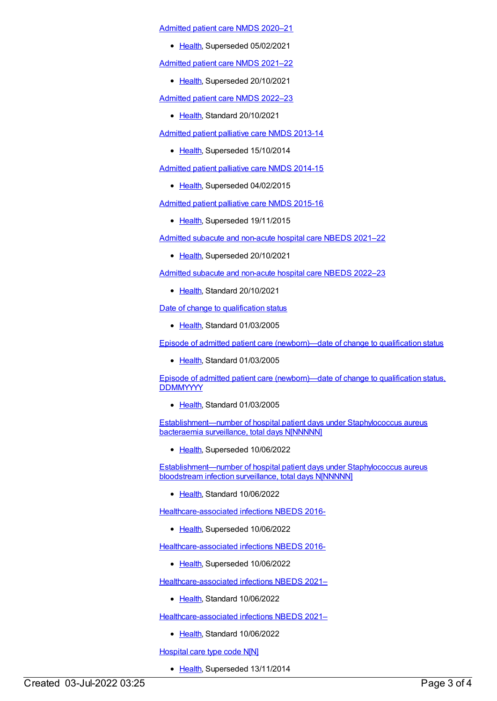[Admitted](https://meteor.aihw.gov.au/content/713850) patient care NMDS 2020–21

• [Health](https://meteor.aihw.gov.au/RegistrationAuthority/12), Superseded 05/02/2021

[Admitted](https://meteor.aihw.gov.au/content/728439) patient care NMDS 2021–22

• [Health](https://meteor.aihw.gov.au/RegistrationAuthority/12), Superseded 20/10/2021

[Admitted](https://meteor.aihw.gov.au/content/742173) patient care NMDS 2022–23

• [Health](https://meteor.aihw.gov.au/RegistrationAuthority/12), Standard 20/10/2021

[Admitted](https://meteor.aihw.gov.au/content/504641) patient palliative care NMDS 2013-14

• [Health](https://meteor.aihw.gov.au/RegistrationAuthority/12), Superseded 15/10/2014

[Admitted](https://meteor.aihw.gov.au/content/553212) patient palliative care NMDS 2014-15

• [Health](https://meteor.aihw.gov.au/RegistrationAuthority/12), Superseded 04/02/2015

[Admitted](https://meteor.aihw.gov.au/content/590512) patient palliative care NMDS 2015-16

• [Health](https://meteor.aihw.gov.au/RegistrationAuthority/12), Superseded 19/11/2015

Admitted subacute and [non-acute](https://meteor.aihw.gov.au/content/727327) hospital care NBEDS 2021–22

• [Health](https://meteor.aihw.gov.au/RegistrationAuthority/12), Superseded 20/10/2021

Admitted subacute and [non-acute](https://meteor.aihw.gov.au/content/742177) hospital care NBEDS 2022–23

• [Health](https://meteor.aihw.gov.au/RegistrationAuthority/12), Standard 20/10/2021

Date of change to [qualification](https://meteor.aihw.gov.au/content/269082) status

● [Health](https://meteor.aihw.gov.au/RegistrationAuthority/12), Standard 01/03/2005

Episode of admitted patient care [\(newborn\)—date](https://meteor.aihw.gov.au/content/269505) of change to qualification status

• [Health](https://meteor.aihw.gov.au/RegistrationAuthority/12), Standard 01/03/2005

Episode of admitted patient care [\(newborn\)—date](https://meteor.aihw.gov.au/content/270034) of change to qualification status, **DDMMYYYY** 

• [Health](https://meteor.aihw.gov.au/RegistrationAuthority/12), Standard 01/03/2005

[Establishment—number](https://meteor.aihw.gov.au/content/585108) of hospital patient days under Staphylococcus aureus bacteraemia surveillance, total days N[NNNNN]

• [Health](https://meteor.aihw.gov.au/RegistrationAuthority/12), Superseded 10/06/2022

[Establishment—number](https://meteor.aihw.gov.au/content/754302) of hospital patient days under Staphylococcus aureus bloodstream infection surveillance, total days N[NNNNN]

• [Health](https://meteor.aihw.gov.au/RegistrationAuthority/12), Standard 10/06/2022

[Healthcare-associated](https://meteor.aihw.gov.au/content/577789) infections NBEDS 2016-

• [Health](https://meteor.aihw.gov.au/RegistrationAuthority/12), Superseded 10/06/2022

[Healthcare-associated](https://meteor.aihw.gov.au/content/577789) infections NBEDS 2016-

• [Health](https://meteor.aihw.gov.au/RegistrationAuthority/12), Superseded 10/06/2022

[Healthcare-associated](https://meteor.aihw.gov.au/content/751510) infections NBEDS 2021–

• [Health](https://meteor.aihw.gov.au/RegistrationAuthority/12), Standard 10/06/2022

[Healthcare-associated](https://meteor.aihw.gov.au/content/751510) infections NBEDS 2021–

• [Health](https://meteor.aihw.gov.au/RegistrationAuthority/12), Standard 10/06/2022

[Hospital](https://meteor.aihw.gov.au/content/391539) care type code N[N]

• [Health](https://meteor.aihw.gov.au/RegistrationAuthority/12), Superseded 13/11/2014